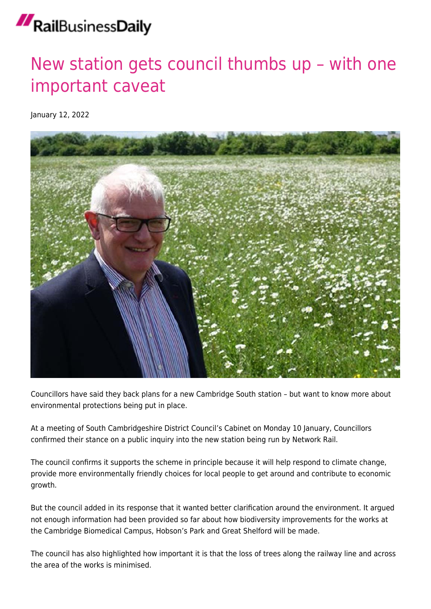## RailBusinessDaily

## [New station gets council thumbs up – with one](https://news.railbusinessdaily.com/new-station-gets-council-thumbs-up-with-one-important-caveat/) [important caveat](https://news.railbusinessdaily.com/new-station-gets-council-thumbs-up-with-one-important-caveat/)

January 12, 2022



Councillors have said they back plans for a new Cambridge South station – but want to know more about environmental protections being put in place.

At a meeting of South Cambridgeshire District Council's Cabinet on Monday 10 January, Councillors confirmed their stance on a public inquiry into the new station being run by Network Rail.

The council confirms it supports the scheme in principle because it will help respond to climate change, provide more environmentally friendly choices for local people to get around and contribute to economic growth.

But the council added in its response that it wanted better clarification around the environment. It argued not enough information had been provided so far about how biodiversity improvements for the works at the Cambridge Biomedical Campus, Hobson's Park and Great Shelford will be made.

The council has also highlighted how important it is that the loss of trees along the railway line and across the area of the works is minimised.